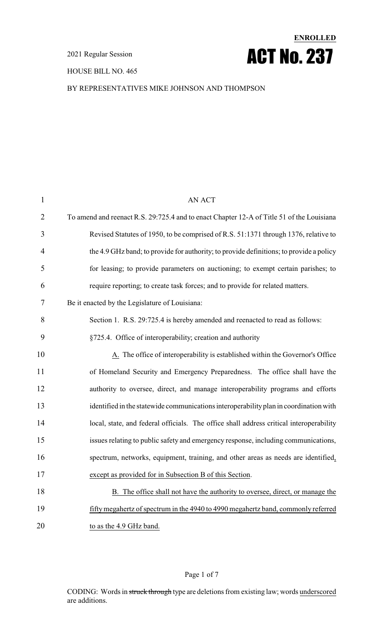HOUSE BILL NO. 465

# **ENROLLED** ACT No. 237

#### BY REPRESENTATIVES MIKE JOHNSON AND THOMPSON

| $\mathbf{1}$   | <b>AN ACT</b>                                                                             |
|----------------|-------------------------------------------------------------------------------------------|
| $\overline{2}$ | To amend and reenact R.S. 29:725.4 and to enact Chapter 12-A of Title 51 of the Louisiana |
| 3              | Revised Statutes of 1950, to be comprised of R.S. 51:1371 through 1376, relative to       |
| $\overline{4}$ | the 4.9 GHz band; to provide for authority; to provide definitions; to provide a policy   |
| 5              | for leasing; to provide parameters on auctioning; to exempt certain parishes; to          |
| 6              | require reporting; to create task forces; and to provide for related matters.             |
| 7              | Be it enacted by the Legislature of Louisiana:                                            |
| 8              | Section 1. R.S. 29:725.4 is hereby amended and reenacted to read as follows:              |
| 9              | §725.4. Office of interoperability; creation and authority                                |
| 10             | A. The office of interoperability is established within the Governor's Office             |
| 11             | of Homeland Security and Emergency Preparedness. The office shall have the                |
| 12             | authority to oversee, direct, and manage interoperability programs and efforts            |
| 13             | identified in the statewide communications interoperability plan in coordination with     |
| 14             | local, state, and federal officials. The office shall address critical interoperability   |
| 15             | issues relating to public safety and emergency response, including communications,        |
| 16             | spectrum, networks, equipment, training, and other areas as needs are identified,         |
| 17             | except as provided for in Subsection B of this Section.                                   |
| 18             | B. The office shall not have the authority to oversee, direct, or manage the              |
| 19             | fifty megahertz of spectrum in the 4940 to 4990 megahertz band, commonly referred         |
| 20             | to as the 4.9 GHz band.                                                                   |

#### Page 1 of 7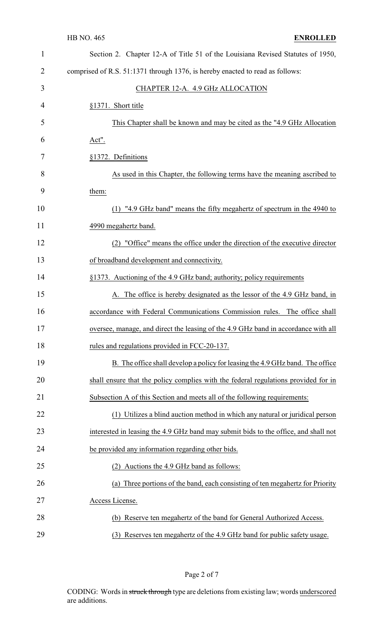| $\mathbf{1}$ | Section 2. Chapter 12-A of Title 51 of the Louisiana Revised Statutes of 1950,      |
|--------------|-------------------------------------------------------------------------------------|
| 2            | comprised of R.S. 51:1371 through 1376, is hereby enacted to read as follows:       |
| 3            | CHAPTER 12-A. 4.9 GHz ALLOCATION                                                    |
| 4            | §1371. Short title                                                                  |
| 5            | This Chapter shall be known and may be cited as the "4.9 GHz Allocation"            |
| 6            | <u>Act".</u>                                                                        |
| 7            | §1372. Definitions                                                                  |
| 8            | As used in this Chapter, the following terms have the meaning ascribed to           |
| 9            | them:                                                                               |
| 10           | (1) "4.9 GHz band" means the fifty megahertz of spectrum in the 4940 to             |
| 11           | 4990 megahertz band.                                                                |
| 12           | (2) "Office" means the office under the direction of the executive director         |
| 13           | of broadband development and connectivity.                                          |
| 14           | §1373. Auctioning of the 4.9 GHz band; authority; policy requirements               |
| 15           | A. The office is hereby designated as the lessor of the 4.9 GHz band, in            |
| 16           | accordance with Federal Communications Commission rules. The office shall           |
| 17           | oversee, manage, and direct the leasing of the 4.9 GHz band in accordance with all  |
| 18           | rules and regulations provided in FCC-20-137.                                       |
| 19           | B. The office shall develop a policy for leasing the 4.9 GHz band. The office       |
| 20           | shall ensure that the policy complies with the federal regulations provided for in  |
| 21           | Subsection A of this Section and meets all of the following requirements:           |
| 22           | (1) Utilizes a blind auction method in which any natural or juridical person        |
| 23           | interested in leasing the 4.9 GHz band may submit bids to the office, and shall not |
| 24           | be provided any information regarding other bids.                                   |
| 25           | Auctions the 4.9 GHz band as follows:                                               |
| 26           | Three portions of the band, each consisting of ten megahertz for Priority<br>(a)    |
| 27           | Access License.                                                                     |
| 28           | (b) Reserve ten megahertz of the band for General Authorized Access.                |
| 29           | (3) Reserves ten megahertz of the 4.9 GHz band for public safety usage.             |

Page 2 of 7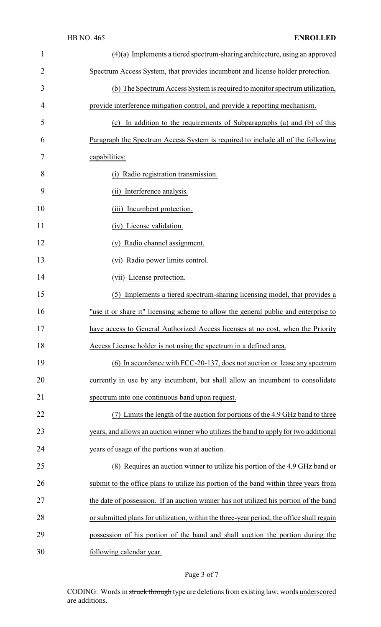| $\mathbf{1}$   | $(4)(a)$ Implements a tiered spectrum-sharing architecture, using an approved             |
|----------------|-------------------------------------------------------------------------------------------|
| $\overline{2}$ | Spectrum Access System, that provides incumbent and license holder protection.            |
| 3              | (b) The Spectrum Access System is required to monitor spectrum utilization,               |
| 4              | provide interference mitigation control, and provide a reporting mechanism.               |
| 5              | In addition to the requirements of Subparagraphs (a) and (b) of this<br>(c)               |
| 6              | Paragraph the Spectrum Access System is required to include all of the following          |
| 7              | capabilities:                                                                             |
| 8              | Radio registration transmission.<br>(i)                                                   |
| 9              | (ii) Interference analysis.                                                               |
| 10             | (iii) Incumbent protection.                                                               |
| 11             | (iv) License validation.                                                                  |
| 12             | (v) Radio channel assignment.                                                             |
| 13             | (vi) Radio power limits control.                                                          |
| 14             | (vii) License protection.                                                                 |
| 15             | (5) Implements a tiered spectrum-sharing licensing model, that provides a                 |
| 16             | "use it or share it" licensing scheme to allow the general public and enterprise to       |
| 17             | have access to General Authorized Access licenses at no cost, when the Priority           |
| 18             | Access License holder is not using the spectrum in a defined area.                        |
| 19             | (6) In accordance with FCC-20-137, does not auction or lease any spectrum                 |
| 20             | currently in use by any incumbent, but shall allow an incumbent to consolidate            |
| 21             | spectrum into one continuous band upon request.                                           |
| 22             | (7) Limits the length of the auction for portions of the 4.9 GHz band to three            |
| 23             | years, and allows an auction winner who utilizes the band to apply for two additional     |
| 24             | years of usage of the portions won at auction.                                            |
| 25             | (8) Requires an auction winner to utilize his portion of the 4.9 GHz band or              |
| 26             | submit to the office plans to utilize his portion of the band within three years from     |
| 27             | the date of possession. If an auction winner has not utilized his portion of the band     |
| 28             | or submitted plans for utilization, within the three-year period, the office shall regain |
| 29             | possession of his portion of the band and shall auction the portion during the            |
| 30             | following calendar year.                                                                  |

## Page 3 of 7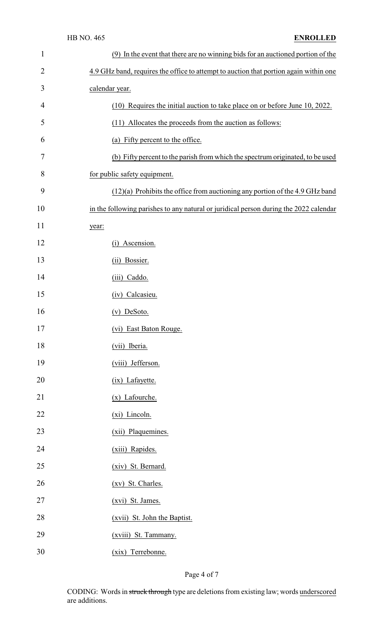| $\mathbf{1}$   | (9) In the event that there are no winning bids for an auctioned portion of the       |
|----------------|---------------------------------------------------------------------------------------|
| $\overline{2}$ | 4.9 GHz band, requires the office to attempt to auction that portion again within one |
| 3              | calendar year.                                                                        |
| 4              | (10) Requires the initial auction to take place on or before June 10, 2022.           |
| 5              | (11) Allocates the proceeds from the auction as follows:                              |
| 6              | (a) Fifty percent to the office.                                                      |
| 7              | (b) Fifty percent to the parish from which the spectrum originated, to be used        |
| 8              | for public safety equipment.                                                          |
| 9              | $(12)(a)$ Prohibits the office from auctioning any portion of the 4.9 GHz band        |
| 10             | in the following parishes to any natural or juridical person during the 2022 calendar |
| 11             | year:                                                                                 |
| 12             | (i) Ascension.                                                                        |
| 13             | (ii) Bossier.                                                                         |
| 14             | (iii) Caddo.                                                                          |
| 15             | (iv) Calcasieu.                                                                       |
| 16             | $(v)$ DeSoto.                                                                         |
| 17             | (vi) East Baton Rouge.                                                                |
| 18             | (vii) Iberia.                                                                         |
| 19             | (viii) Jefferson.                                                                     |
| 20             | (ix) Lafayette.                                                                       |
| 21             | (x) Lafourche.                                                                        |
| 22             | (xi) Lincoln.                                                                         |
| 23             | (xii) Plaquemines.                                                                    |
| 24             | (xiii) Rapides.                                                                       |
| 25             | (xiv) St. Bernard.                                                                    |
| 26             | (xv) St. Charles.                                                                     |
| 27             | (xvi) St. James.                                                                      |
| 28             | (xvii) St. John the Baptist.                                                          |
| 29             | (xviii) St. Tammany.                                                                  |
| 30             | (xix) Terrebonne.                                                                     |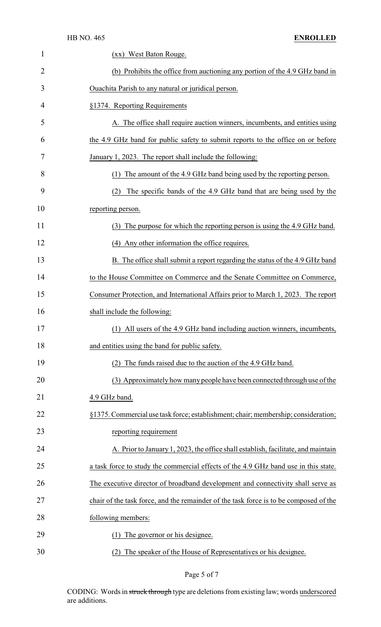|                | <b>HB NO. 465</b><br><b>ENROLLED</b>                                                  |
|----------------|---------------------------------------------------------------------------------------|
| 1              | (xx) West Baton Rouge.                                                                |
| $\overline{c}$ | (b) Prohibits the office from auctioning any portion of the 4.9 GHz band in           |
| 3              | Ouachita Parish to any natural or juridical person.                                   |
| 4              | §1374. Reporting Requirements                                                         |
| 5              | A. The office shall require auction winners, incumbents, and entities using           |
| 6              | the 4.9 GHz band for public safety to submit reports to the office on or before       |
| 7              | January 1, 2023. The report shall include the following:                              |
| 8              | The amount of the 4.9 GHz band being used by the reporting person.<br>(1)             |
| 9              | The specific bands of the 4.9 GHz band that are being used by the<br>(2)              |
| 10             | reporting person.                                                                     |
| 11             | The purpose for which the reporting person is using the 4.9 GHz band.<br>(3)          |
| 12             | (4) Any other information the office requires.                                        |
| 13             | B. The office shall submit a report regarding the status of the 4.9 GHz band          |
| 14             | to the House Committee on Commerce and the Senate Committee on Commerce,              |
| 15             | Consumer Protection, and International Affairs prior to March 1, 2023. The report     |
| 16             | shall include the following:                                                          |
| 17             | (1) All users of the 4.9 GHz band including auction winners, incumbents,              |
| 18             | and entities using the band for public safety.                                        |
| 19             | The funds raised due to the auction of the 4.9 GHz band.<br>(2)                       |
| 20             | (3) Approximately how many people have been connected through use of the              |
| 21             | 4.9 GHz band.                                                                         |
| 22             | §1375. Commercial use task force; establishment; chair; membership; consideration;    |
| 23             | reporting requirement                                                                 |
| 24             | A. Prior to January 1, 2023, the office shall establish, facilitate, and maintain     |
| 25             | a task force to study the commercial effects of the 4.9 GHz band use in this state.   |
| 26             | The executive director of broadband development and connectivity shall serve as       |
| 27             | chair of the task force, and the remainder of the task force is to be composed of the |
| 28             | following members:                                                                    |
| 29             | The governor or his designee.<br>(1)                                                  |
| 30             | The speaker of the House of Representatives or his designee.                          |

Page 5 of 7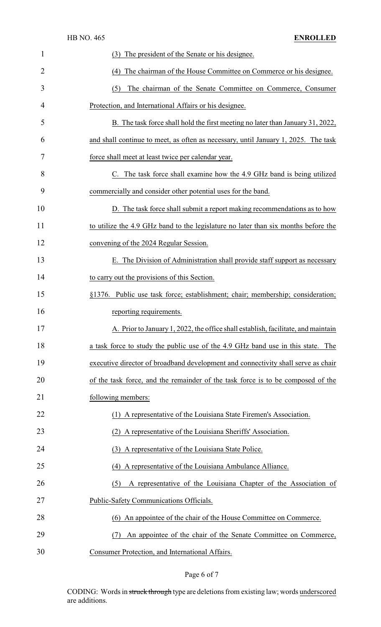|                | <b>HB NO. 465</b><br><b>ENROLLED</b>                                               |
|----------------|------------------------------------------------------------------------------------|
| 1              | The president of the Senate or his designee.<br>(3)                                |
| $\overline{2}$ | (4) The chairman of the House Committee on Commerce or his designee.               |
| 3              | The chairman of the Senate Committee on Commerce, Consumer<br>(5)                  |
| 4              | Protection, and International Affairs or his designee.                             |
| 5              | B. The task force shall hold the first meeting no later than January 31, 2022,     |
| 6              | and shall continue to meet, as often as necessary, until January 1, 2025. The task |
| 7              | force shall meet at least twice per calendar year.                                 |
| 8              | C. The task force shall examine how the 4.9 GHz band is being utilized             |
| 9              | commercially and consider other potential uses for the band.                       |
| 10             | D. The task force shall submit a report making recommendations as to how           |
| 11             | to utilize the 4.9 GHz band to the legislature no later than six months before the |
| 12             | convening of the 2024 Regular Session.                                             |
| 13             | E. The Division of Administration shall provide staff support as necessary         |
| 14             | to carry out the provisions of this Section.                                       |
| 15             | §1376. Public use task force; establishment; chair; membership; consideration;     |
| 16             | reporting requirements.                                                            |
| 17             | A. Prior to January 1, 2022, the office shall establish, facilitate, and maintain  |
| 18             | a task force to study the public use of the 4.9 GHz band use in this state. The    |
| 19             | executive director of broadband development and connectivity shall serve as chair  |
| 20             | of the task force, and the remainder of the task force is to be composed of the    |
| 21             | following members:                                                                 |
| 22             | (1) A representative of the Louisiana State Firemen's Association.                 |
| 23             | (2) A representative of the Louisiana Sheriffs' Association.                       |
| 24             | (3) A representative of the Louisiana State Police.                                |
| 25             | (4) A representative of the Louisiana Ambulance Alliance.                          |
| 26             | A representative of the Louisiana Chapter of the Association of<br>(5)             |
| 27             | Public-Safety Communications Officials.                                            |
| 28             | (6) An appointee of the chair of the House Committee on Commerce.                  |
| 29             | An appointee of the chair of the Senate Committee on Commerce,<br>(7)              |
| 30             | Consumer Protection, and International Affairs.                                    |

Page 6 of 7